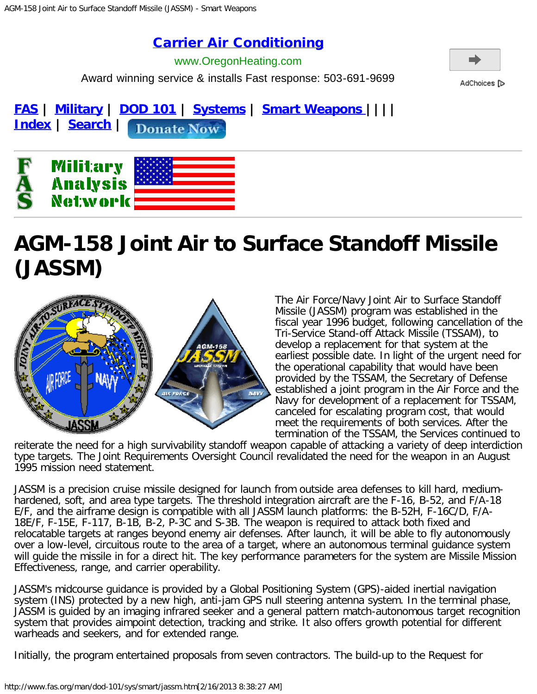## [Carrier Air Conditioning](http://www.googleadservices.com/pagead/aclk?sa=L&ai=CqRYn_bUfUammBseKlALRpoFY9ZW94QG96rKRLsCNtwEQASDLo5AGUNnT5bH9_____wFgyYb-i8yk1BmgAZvMzeQDyAEBqAMByAPfBKoEgwFP0E-0RqyQIrLDzhnK34h2-v_9V83e_NQScmjWq8WACQAoES_Cm0VkOgXBDcAGOP7N_pGMf2VfeN2mzvN_vqN3FUSJySKOZkem64JbbkSMh8de3ttJ6UM19ImjJJ5_Wp5FOZxgPGu2VUQsd_CDNovG8vCIbZ0MnMxltu0ihzoFGQ4C-ogGAYAHzbOyGw&num=1&cid=5Ggeqw9bayPMGY0Xz8gOW6Bh&sig=AOD64_2DSAlbSYJbzlBATOofJSxty4qmyQ&client=ca-pub-6837127770928289&adurl=http://www.oregonheating.com/ppc/welcome)

Award winning service & installs Fast response: 503-691-9699 www.OregonHeating.com



AdChoices [D

**[FAS](http://www.fas.org/index.html) | [Military](http://www.fas.org/man/index.html) | [DOD 101](http://www.fas.org/man/dod-101/index.html) | [Systems](http://www.fas.org/man/dod-101/sys/index.html) | [Smart Weapons |](http://www.fas.org/man/dod-101/sys/smart/index.html)||| [Index](http://www.fas.org/siteindx.html) | [Search](http://www.fas.org/search.html) | Donate Now** 



# **AGM-158 Joint Air to Surface Standoff Missile (JASSM)**



The Air Force/Navy Joint Air to Surface Standoff Missile (JASSM) program was established in the fiscal year 1996 budget, following cancellation of the Tri-Service Stand-off Attack Missile (TSSAM), to develop a replacement for that system at the earliest possible date. In light of the urgent need for the operational capability that would have been provided by the TSSAM, the Secretary of Defense established a joint program in the Air Force and the Navy for development of a replacement for TSSAM, canceled for escalating program cost, that would meet the requirements of both services. After the termination of the TSSAM, the Services continued to

reiterate the need for a high survivability standoff weapon capable of attacking a variety of deep interdiction type targets. The Joint Requirements Oversight Council revalidated the need for the weapon in an August 1995 mission need statement.

JASSM is a precision cruise missile designed for launch from outside area defenses to kill hard, mediumhardened, soft, and area type targets. The threshold integration aircraft are the F-16, B-52, and F/A-18 E/F, and the airframe design is compatible with all JASSM launch platforms: the B-52H, F-16C/D, F/A-18E/F, F-15E, F-117, B-1B, B-2, P-3C and S-3B. The weapon is required to attack both fixed and relocatable targets at ranges beyond enemy air defenses. After launch, it will be able to fly autonomously over a low-level, circuitous route to the area of a target, where an autonomous terminal guidance system will guide the missile in for a direct hit. The key performance parameters for the system are Missile Mission Effectiveness, range, and carrier operability.

JASSM's midcourse guidance is provided by a Global Positioning System (GPS)-aided inertial navigation system (INS) protected by a new high, anti-jam GPS null steering antenna system. In the terminal phase, JASSM is guided by an imaging infrared seeker and a general pattern match-autonomous target recognition system that provides aimpoint detection, tracking and strike. It also offers growth potential for different warheads and seekers, and for extended range.

Initially, the program entertained proposals from seven contractors. The build-up to the Request for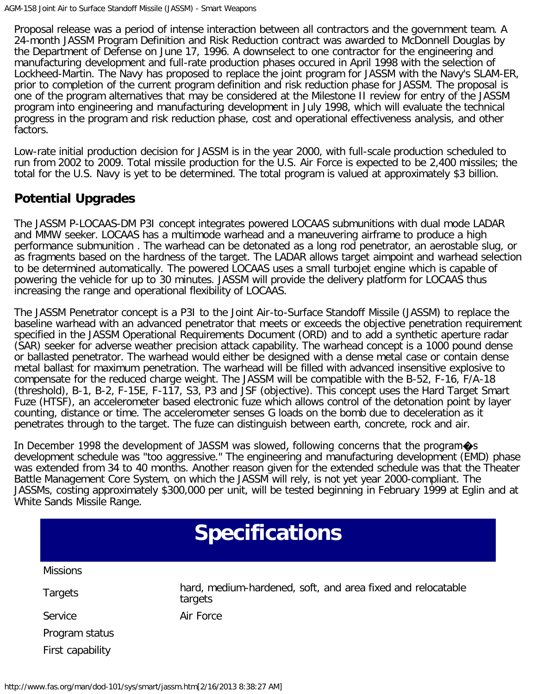Proposal release was a period of intense interaction between all contractors and the government team. A 24-month JASSM Program Definition and Risk Reduction contract was awarded to McDonnell Douglas by the Department of Defense on June 17, 1996. A downselect to one contractor for the engineering and manufacturing development and full-rate production phases occured in April 1998 with the selection of Lockheed-Martin. The Navy has proposed to replace the joint program for JASSM with the Navy's SLAM-ER, prior to completion of the current program definition and risk reduction phase for JASSM. The proposal is one of the program alternatives that may be considered at the Milestone II review for entry of the JASSM program into engineering and manufacturing development in July 1998, which will evaluate the technical progress in the program and risk reduction phase, cost and operational effectiveness analysis, and other factors.

Low-rate initial production decision for JASSM is in the year 2000, with full-scale production scheduled to run from 2002 to 2009. Total missile production for the U.S. Air Force is expected to be 2,400 missiles; the total for the U.S. Navy is yet to be determined. The total program is valued at approximately \$3 billion.

### **Potential Upgrades**

The JASSM P-LOCAAS-DM P3I concept integrates powered LOCAAS submunitions with dual mode LADAR and MMW seeker. LOCAAS has a multimode warhead and a maneuvering airframe to produce a high performance submunition . The warhead can be detonated as a long rod penetrator, an aerostable slug, or as fragments based on the hardness of the target. The LADAR allows target aimpoint and warhead selection to be determined automatically. The powered LOCAAS uses a small turbojet engine which is capable of powering the vehicle for up to 30 minutes. JASSM will provide the delivery platform for LOCAAS thus increasing the range and operational flexibility of LOCAAS.

The JASSM Penetrator concept is a P3I to the Joint Air-to-Surface Standoff Missile (JASSM) to replace the baseline warhead with an advanced penetrator that meets or exceeds the objective penetration requirement specified in the JASSM Operational Requirements Document (ORD) and to add a synthetic aperture radar (SAR) seeker for adverse weather precision attack capability. The warhead concept is a 1000 pound dense or ballasted penetrator. The warhead would either be designed with a dense metal case or contain dense metal ballast for maximum penetration. The warhead will be filled with advanced insensitive explosive to compensate for the reduced charge weight. The JASSM will be compatible with the B-52, F-16, F/A-18 (threshold), B-1, B-2, F-15E, F-117, S3, P3 and JSF (objective). This concept uses the Hard Target Smart Fuze (HTSF), an accelerometer based electronic fuze which allows control of the detonation point by layer counting, distance or time. The accelerometer senses G loads on the bomb due to deceleration as it penetrates through to the target. The fuze can distinguish between earth, concrete, rock and air.

In December 1998 the development of JASSM was slowed, following concerns that the program $\diamondsuit$ s development schedule was "too aggressive." The engineering and manufacturing development (EMD) phase was extended from 34 to 40 months. Another reason given for the extended schedule was that the Theater Battle Management Core System, on which the JASSM will rely, is not yet year 2000-compliant. The JASSMs, costing approximately \$300,000 per unit, will be tested beginning in February 1999 at Eglin and at White Sands Missile Range.

| <b>Specifications</b> |                                                                        |  |
|-----------------------|------------------------------------------------------------------------|--|
| <b>Missions</b>       |                                                                        |  |
| <b>Targets</b>        | hard, medium-hardened, soft, and area fixed and relocatable<br>targets |  |
| Service               | Air Force                                                              |  |
| Program status        |                                                                        |  |
| First capability      |                                                                        |  |
|                       |                                                                        |  |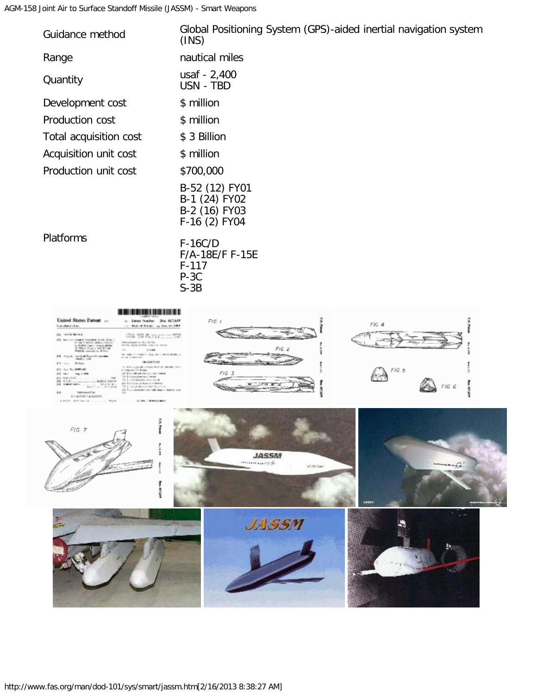#### AGM-158 Joint Air to Surface Standoff Missile (JASSM) - Smart Weapons

| Guidance method                                                                                                                                                                                                                                                                                                                                                                                                                                                                                                                                                                                                                                                | Global Positioning System (GPS)-aided inertial navigation system<br>(INS) |
|----------------------------------------------------------------------------------------------------------------------------------------------------------------------------------------------------------------------------------------------------------------------------------------------------------------------------------------------------------------------------------------------------------------------------------------------------------------------------------------------------------------------------------------------------------------------------------------------------------------------------------------------------------------|---------------------------------------------------------------------------|
| Range                                                                                                                                                                                                                                                                                                                                                                                                                                                                                                                                                                                                                                                          | nautical miles                                                            |
| Quantity                                                                                                                                                                                                                                                                                                                                                                                                                                                                                                                                                                                                                                                       | usaf - 2,400<br>USN - TBD                                                 |
| Development cost                                                                                                                                                                                                                                                                                                                                                                                                                                                                                                                                                                                                                                               | \$ million                                                                |
| Production cost                                                                                                                                                                                                                                                                                                                                                                                                                                                                                                                                                                                                                                                | \$ million                                                                |
| Total acquisition cost                                                                                                                                                                                                                                                                                                                                                                                                                                                                                                                                                                                                                                         | \$ 3 Billion                                                              |
| Acquisition unit cost                                                                                                                                                                                                                                                                                                                                                                                                                                                                                                                                                                                                                                          | \$ million                                                                |
| Production unit cost                                                                                                                                                                                                                                                                                                                                                                                                                                                                                                                                                                                                                                           | \$700,000                                                                 |
|                                                                                                                                                                                                                                                                                                                                                                                                                                                                                                                                                                                                                                                                | B-52 (12) FY01<br>B-1 (24) FY02<br>B-2 (16) FY03<br>$F-16(2)$ FY04        |
| Platforms                                                                                                                                                                                                                                                                                                                                                                                                                                                                                                                                                                                                                                                      | $F-16C/D$<br>F/A-18E/F F-15E<br>$F-117$<br>$P-3C$<br>$S-3B$               |
| ,,,,,,,,,,,,<br>United States Patent<br>s: Pent Scaler Do. 417,679<br>(b) Bloke of Roberts (p) Hon. 44, 1999<br>Constitutions<br><b>ISO CARDS NEWSEL</b><br>迎達 学期満 Jing<br>ng Namilian Has 2013)<br>Na wang sa Pelis Salam ni Kabupi<br>110,000<br>RECORD AND RESPONSIVELY.<br>a federation is<br>0810087105<br>This is a good to the complete state of a monetary of<br>199, 4th 33<br>18.0pm<br>ALCOHOL: NO<br>Painting Martin Dentis<br>NV. Rancisco istrala ni manoral<br>more decisionist than I as<br>Sep 2, 11 1.10<br>the last year of the company of the second and<br><b>Saleman ATA</b><br><b>EA INTERNATIONS</b><br>LC/RECOVERABLE<br>SENT Part 4. | $F/G$ (<br>ş<br>s<br>FIG. 4<br>Ĩ<br>F/EZ<br>FIG 5<br>FIG 3<br>FIG. 6      |
| <b>TA Pian</b><br>FIG. 7                                                                                                                                                                                                                                                                                                                                                                                                                                                                                                                                                                                                                                       | <b>JASSM</b>                                                              |

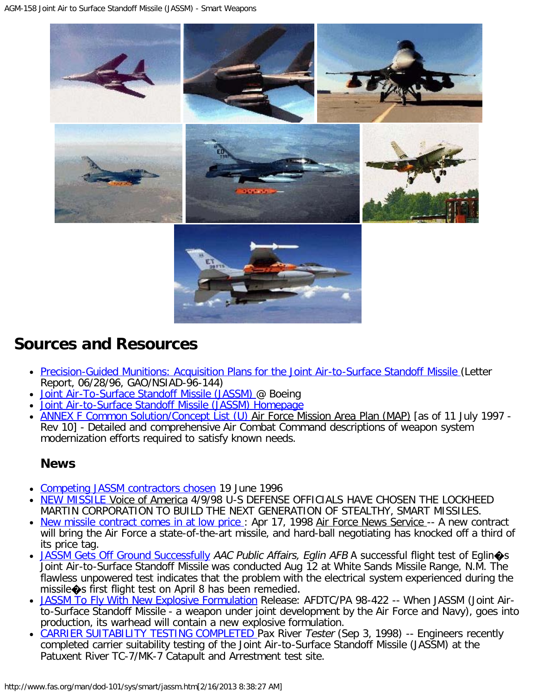AGM-158 Joint Air to Surface Standoff Missile (JASSM) - Smart Weapons



## **Sources and Resources**

- [Precision-Guided Munitions: Acquisition Plans for the Joint Air-to-Surface Standoff Missile](http://www.fas.org/man/gao/ns96144.htm) (Letter Report, 06/28/96, GAO/NSIAD-96-144)
- [Joint Air-To-Surface Standoff Missile \(JASSM\)](http://www.boeing.com/defense-space/missiles/jassm/jassm.htm) @ Boeing
- [Joint Air-to-Surface Standoff Missile \(JASSM\) Homepage](http://www.jdamus1.eglin.af.mil:84/)
- **[ANNEX F Common Solution/Concept List \(U\) A](http://www.fas.org/man/dod-101/usaf/docs/mast/annex_f/part26.htm)ir Force Mission Area Plan (MAP)** [as of 11 July 1997 -Rev 10] - Detailed and comprehensive Air Combat Command descriptions of weapon system modernization efforts required to satisfy known needs.

### **News**

- [Competing JASSM contractors chosen](http://www.fas.org/man/dod-101/sys/smart/docs/n19960619_960587.htm) 19 June 1996
- [NEW MISSILE V](http://www.fas.org/man/dod-101/sys/smart/980409-jassm.htm)oice of America 4/9/98 U-S DEFENSE OFFICIALS HAVE CHOSEN THE LOCKHEED MARTIN CORPORATION TO BUILD THE NEXT GENERATION OF STEALTHY, SMART MISSILES.
- New missile contract comes in at low price: Apr 17, 1998 Air Force News Service -- A new contract will bring the Air Force a state-of-the-art missile, and hard-ball negotiating has knocked off a third of its price tag.
- [JASSM Gets Off Ground Successfully](http://www.fas.org/man/dod-101/sys/smart/docs/980000-jassm.htm) AAC Public Affairs, Eglin AFB A successful flight test of Eglin $\diamond$ s Joint Air-to-Surface Standoff Missile was conducted Aug 12 at White Sands Missile Range, N.M. The flawless unpowered test indicates that the problem with the electrical system experienced during the missile�s first flight test on April 8 has been remedied.
- . [JASSM To Fly With New Explosive Formulation](http://www.fas.org/man/dod-101/sys/smart/docs/afx757.htm) Release: AFDTC/PA 98-422 -- When JASSM (Joint Airto-Surface Standoff Missile - a weapon under joint development by the Air Force and Navy), goes into production, its warhead will contain a new explosive formulation.
- [CARRIER SUITABILITY TESTING COMPLETED P](http://www.fas.org/man/dod-101/sys/smart/docs/980903-jassm.htm)ax River Tester (Sep 3, 1998) -- Engineers recently completed carrier suitability testing of the Joint Air-to-Surface Standoff Missile (JASSM) at the Patuxent River TC-7/MK-7 Catapult and Arrestment test site.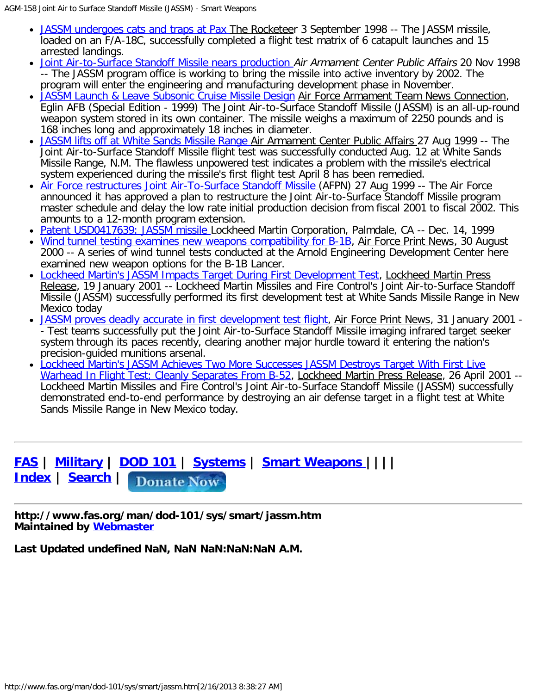- [JASSM undergoes cats and traps at Pax](http://www.fas.org/man/dod-101/sys/smart/docs/980903-jassm2.htm) The Rocketeer 3 September 1998 -- The JASSM missile, loaded on an F/A-18C, successfully completed a flight test matrix of 6 catapult launches and 15 arrested landings.
- [Joint Air-to-Surface Standoff Missile nears production](http://www.fas.org/man/dod-101/sys/smart/docs/n19981120_981805.html) Air Armament Center Public Affairs 20 Nov 1998 -- The JASSM program office is working to bring the missile into active inventory by 2002. The program will enter the engineering and manufacturing development phase in November.
- [JASSM Launch & Leave Subsonic Cruise Missile Design](http://www.fas.org/man/dod-101/sys/smart/docs/990000-jassm.htm) Air Force Armament Team News Connection, Eglin AFB (Special Edition - 1999) The Joint Air-to-Surface Standoff Missile (JASSM) is an all-up-round weapon system stored in its own container. The missile weighs a maximum of 2250 pounds and is 168 inches long and approximately 18 inches in diameter.
- [JASSM lifts off at White Sands Missile Range](http://www.fas.org/man/dod-101/sys/smart/docs/n19990827_991599.htm) Air Armament Center Public Affairs 27 Aug 1999 -- The Joint Air-to-Surface Standoff Missile flight test was successfully conducted Aug. 12 at White Sands Missile Range, N.M. The flawless unpowered test indicates a problem with the missile's electrical system experienced during the missile's first flight test April 8 has been remedied.
- [Air Force restructures Joint Air-To-Surface Standoff Missile](http://www.fas.org/man/dod-101/sys/smart/docs/n19990827_991606.htm) (AFPN) 27 Aug 1999 -- The Air Force announced it has approved a plan to restructure the Joint Air-to-Surface Standoff Missile program master schedule and delay the low rate initial production decision from fiscal 2001 to fiscal 2002. This amounts to a 12-month program extension.
- [Patent USD0417639: JASSM missile](http://www.patents.ibm.com/details?&pn=USD0417639__) Lockheed Martin Corporation, Palmdale, CA -- Dec. 14, 1999
- [Wind tunnel testing examines new weapons compatibility for B-1B,](http://www.fas.org/man/dod-101/sys/smart/docs/man-mi-jassm-000830.htm) Air Force Print News, 30 August 2000 -- A series of wind tunnel tests conducted at the Arnold Engineering Development Center here examined new weapon options for the B-1B Lancer.
- [Lockheed Martin's JASSM Impacts Target During First Development Test](http://www.fas.org/man/dod-101/sys/smart/docs/man-sm-jassm-010119.htm), Lockheed Martin Press Release, 19 January 2001 -- Lockheed Martin Missiles and Fire Control's Joint Air-to-Surface Standoff Missile (JASSM) successfully performed its first development test at White Sands Missile Range in New Mexico today
- [JASSM proves deadly accurate in first development test flight,](http://www.fas.org/man/dod-101/sys/smart/docs/man-sm-jassm-010131.htm) Air Force Print News, 31 January 2001 -- Test teams successfully put the Joint Air-to-Surface Standoff Missile imaging infrared target seeker system through its paces recently, clearing another major hurdle toward it entering the nation's precision-guided munitions arsenal.
- [Lockheed Martin's JASSM Achieves Two More Successes JASSM Destroys Target With First Live](http://www.fas.org/man/dod-101/sys/smart/docs/man-sm-jassm-010426.htm) [Warhead In Flight Test; Cleanly Separates From B-52,](http://www.fas.org/man/dod-101/sys/smart/docs/man-sm-jassm-010426.htm) Lockheed Martin Press Release, 26 April 2001 --Lockheed Martin Missiles and Fire Control's Joint Air-to-Surface Standoff Missile (JASSM) successfully demonstrated end-to-end performance by destroying an air defense target in a flight test at White Sands Missile Range in New Mexico today.

## **[FAS](http://www.fas.org/index.html) | [Military](http://www.fas.org/man/index.html) | [DOD 101](http://www.fas.org/man/dod-101/index.html) | [Systems](http://www.fas.org/man/dod-101/sys/index.html) | [Smart Weapons |](http://www.fas.org/man/dod-101/sys/smart/index.html)||| [Index](http://www.fas.org/siteindx.html) | [Search](http://www.fas.org/search.html) |**

**http://www.fas.org/man/dod-101/sys/smart/jassm.htm Maintained by [Webmaster](mailto:webmaster@fas.org)**

**Last Updated undefined NaN, NaN NaN:NaN:NaN A.M.**